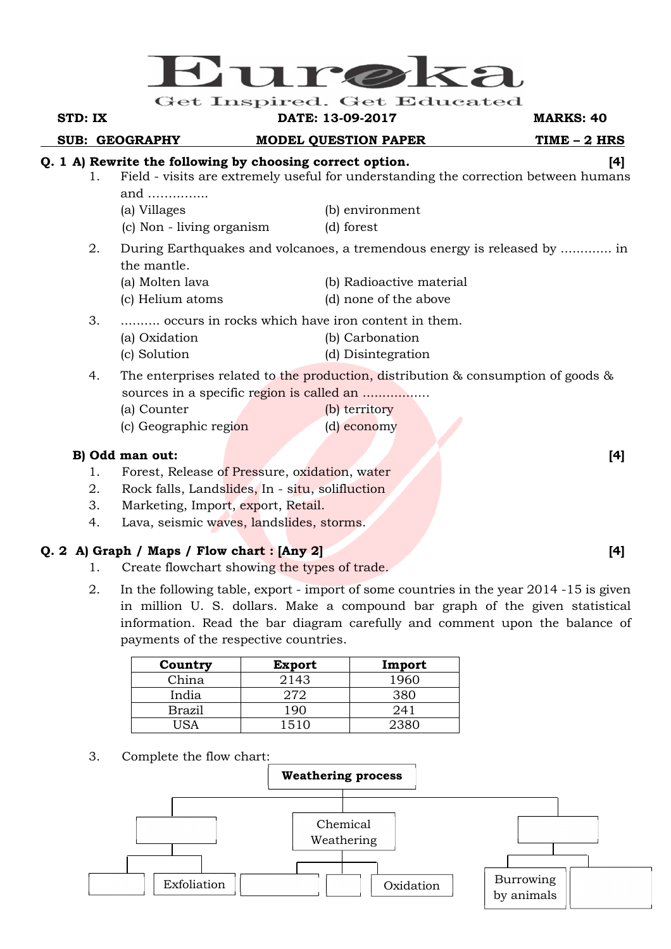

#### **STD: IX DATE: 13-09-2017 MARKS: 40**

**SUB: GEOGRAPHY MODEL QUESTION PAPER TIME - 2 HRS** 

# **Q. 1 A) Rewrite the following by choosing correct option. [4]**

- 1. Field visits are extremely useful for understanding the correction between humans and ……..…....
	- (a) Villages (b) environment
	- (c) Non living organism (d) forest
- 2. During Earthquakes and volcanoes, a tremendous energy is released by ............. in the mantle.
	- (a) Molten lava (b) Radioactive material
	- (c) Helium atoms (d) none of the above
- 3. .......... occurs in rocks which have iron content in them.
	- (a) Oxidation (b) Carbonation
	- (c) Solution (d) Disintegration
- 4. The enterprises related to the production, distribution & consumption of goods & sources in a specific region is called an ...................
	- (a) Counter (b) territory (c) Geographic region (d) economy
	-

# **B)** Odd man out: [4] *B*

- 1. Forest, Release of Pressure, oxidation, water
- 2. Rock falls, Landslides, In situ, solifluction
- 3. Marketing, Import, export, Retail.
- 4. Lava, seismic waves, landslides, storms.

# **Q. 2 A) Graph / Maps / Flow chart : [Any 2] [4]**

- 1. Create flowchart showing the types of trade.
- 2. In the following table, export import of some countries in the year 2014 -15 is given in million U. S. dollars. Make a compound bar graph of the given statistical information. Read the bar diagram carefully and comment upon the balance of payments of the respective countries.

| Country       | <b>Export</b> | Import |
|---------------|---------------|--------|
| China         | 2143          | 1960.  |
| India         | 272           | 380    |
| <b>Brazil</b> | 190           | 241    |
|               | 1510          | ววฉ    |

3. Complete the flow chart: